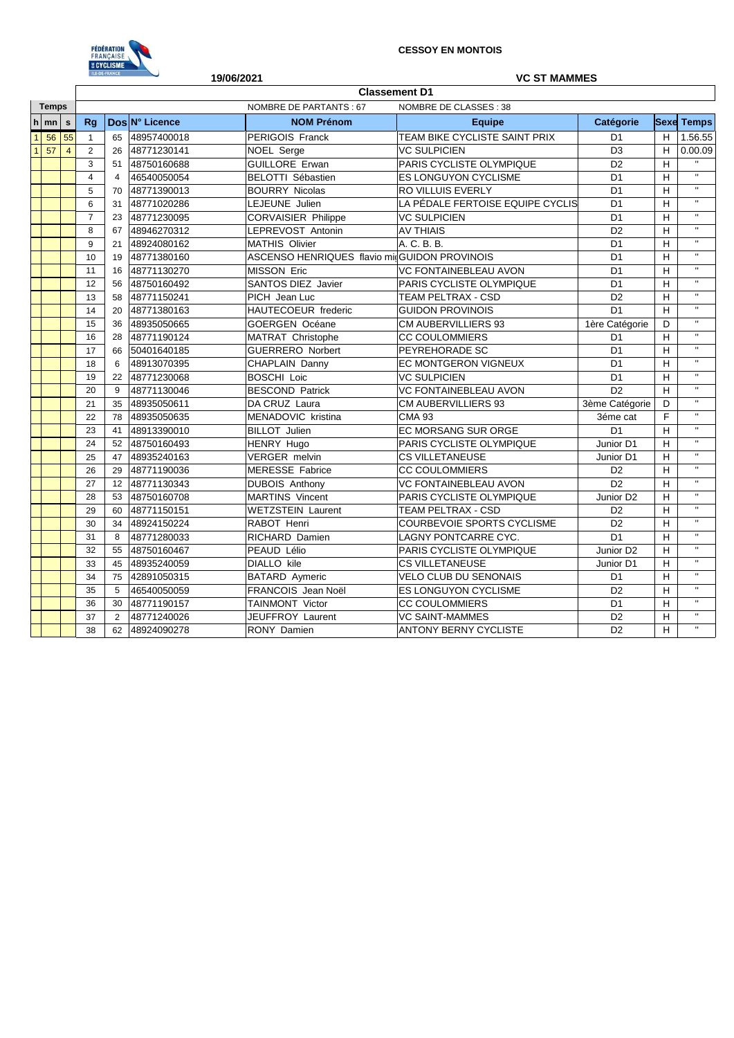

|                |    |                      |                                                 | LE-DE-FRANCE      | 19/06/2021<br><b>VC ST MAMMES</b> |                                              |                                  |                       |                         |                           |  |
|----------------|----|----------------------|-------------------------------------------------|-------------------|-----------------------------------|----------------------------------------------|----------------------------------|-----------------------|-------------------------|---------------------------|--|
|                |    | <b>Classement D1</b> |                                                 |                   |                                   |                                              |                                  |                       |                         |                           |  |
| <b>Temps</b>   |    |                      | NOMBRE DE PARTANTS: 67<br>NOMBRE DE CLASSES: 38 |                   |                                   |                                              |                                  |                       |                         |                           |  |
| h              | mn | s                    | Rq                                              |                   | Dos N° Licence                    | <b>NOM Prénom</b>                            | <b>Equipe</b>                    | <b>Catégorie</b>      |                         | <b>Sexe Temps</b>         |  |
| $\overline{1}$ | 56 | 55                   | $\mathbf{1}$                                    | 65                | 48957400018                       | <b>PERIGOIS Franck</b>                       | TEAM BIKE CYCLISTE SAINT PRIX    | D <sub>1</sub>        | H                       | 1.56.55                   |  |
| $\mathbf{1}$   | 57 | $\overline{4}$       | $\overline{2}$                                  | 26<br>48771230141 |                                   | NOEL Serge                                   | <b>VC SULPICIEN</b>              | D <sub>3</sub>        | H                       | 0.00.09                   |  |
|                |    | 3                    | 51                                              | 48750160688       | <b>GUILLORE Erwan</b>             | PARIS CYCLISTE OLYMPIQUE                     | D <sub>2</sub>                   | H                     |                         |                           |  |
|                |    |                      | 4                                               | $\overline{4}$    | 46540050054                       | <b>BELOTTI Sébastien</b>                     | ES LONGUYON CYCLISME             |                       | H                       | $\mathbf{u}$              |  |
|                |    |                      | 5                                               | 70                | 48771390013                       | <b>BOURRY Nicolas</b>                        | <b>RO VILLUIS EVERLY</b>         | D <sub>1</sub>        | н                       | $\mathbf{H}$              |  |
|                |    |                      | 6                                               | 31                | 48771020286                       | LEJEUNE Julien                               | LA PÉDALE FERTOISE EQUIPE CYCLIS | D <sub>1</sub>        | H                       | $\mathbf{u}$              |  |
|                |    | $\overline{7}$<br>23 |                                                 |                   | 48771230095                       | <b>CORVAISIER Philippe</b>                   | <b>VC SULPICIEN</b>              | D <sub>1</sub>        | н                       | $\mathbf{H}$              |  |
|                |    | 8<br>67              |                                                 | 48946270312       | LEPREVOST Antonin                 | <b>AV THIAIS</b>                             | D <sub>2</sub>                   | H                     | $\overline{\mathbf{u}}$ |                           |  |
|                |    |                      | 9                                               | 21                | 48924080162                       | <b>MATHIS Olivier</b>                        | A. C. B. B.                      | D <sub>1</sub>        | н                       | $\mathbf{H}$              |  |
|                |    |                      | 10                                              | 19                | 48771380160                       | ASCENSO HENRIQUES flavio midGUIDON PROVINOIS |                                  | D <sub>1</sub>        | H                       | $\mathbf{u}$              |  |
|                |    |                      | 11                                              | 16                | 48771130270                       | <b>MISSON Eric</b>                           | <b>VC FONTAINEBLEAU AVON</b>     | D <sub>1</sub>        | H                       | $\mathbf{H}$              |  |
|                |    |                      | 12                                              | 56                | 48750160492                       | SANTOS DIEZ Javier                           | PARIS CYCLISTE OLYMPIQUE         | D <sub>1</sub>        | H                       | $\mathbf{H}$              |  |
|                |    |                      | 13                                              | 58                | 48771150241                       | PICH Jean Luc                                | <b>TEAM PELTRAX - CSD</b>        | D <sub>2</sub>        | H                       | $\mathbf{H}$              |  |
|                |    |                      | 14                                              | 20                | 48771380163                       | HAUTECOEUR frederic                          | <b>GUIDON PROVINOIS</b>          | D <sub>1</sub>        | H                       | $\mathbf{u}$              |  |
|                |    |                      | 15                                              | 36                | 48935050665                       | <b>GOERGEN Océane</b>                        | CM AUBERVILLIERS 93              | 1ère Catégorie        | D                       | $\mathbf{u}$              |  |
|                |    |                      | 16                                              | 28                | 48771190124                       | <b>MATRAT Christophe</b>                     | <b>CC COULOMMIERS</b>            | D <sub>1</sub>        | н                       | $\boldsymbol{\mathsf{H}}$ |  |
|                |    |                      | 17                                              | 66                | 50401640185                       | <b>GUERRERO</b> Norbert                      | PEYREHORADE SC                   | D <sub>1</sub>        | н                       | $\mathbf{H}$              |  |
|                |    | 18                   |                                                 | 6                 | 48913070395                       | CHAPLAIN Danny                               | EC MONTGERON VIGNEUX             | D <sub>1</sub>        | н                       | $\mathbf{H}$              |  |
|                |    |                      | 19                                              | 22                | 48771230068                       | <b>BOSCHI Loic</b>                           | <b>VC SULPICIEN</b>              | D <sub>1</sub>        | H                       | $\mathbf{u}$              |  |
|                |    | 20                   |                                                 | 9                 | 48771130046                       | <b>BESCOND Patrick</b>                       | <b>VC FONTAINEBLEAU AVON</b>     | D <sub>2</sub>        | H                       | $\mathbf{u}$              |  |
|                |    | 21                   |                                                 | 35                | 48935050611                       | DA CRUZ Laura                                | <b>CM AUBERVILLIERS 93</b>       | 3ème Catégorie        | D                       | $\mathbf{H}$              |  |
|                |    | 22                   |                                                 | 78                | 48935050635                       | MENADOVIC kristina                           | <b>CMA 93</b>                    | 3éme cat              | E                       | $\mathbf{u}$              |  |
|                |    | 23                   |                                                 | 41                | 48913390010                       | <b>BILLOT</b> Julien                         | <b>EC MORSANG SUR ORGE</b>       | D <sub>1</sub>        | H                       | $\mathbf{H}$              |  |
|                |    | 24                   |                                                 | 52                | 48750160493                       | <b>HENRY Hugo</b>                            | PARIS CYCLISTE OLYMPIQUE         | Junior D1             | H                       | $\overline{\mathbf{u}}$   |  |
|                |    | 25                   |                                                 | 47                | 48935240163                       | <b>VERGER</b> melvin                         | <b>CS VILLETANEUSE</b>           | Junior D1             | н                       | $\mathbf{u}$              |  |
|                |    | 26                   |                                                 | 29                | 48771190036                       | MERESSE Fabrice                              | <b>CC COULOMMIERS</b>            | D <sub>2</sub>        | H                       | $\mathbf{u}$              |  |
|                |    |                      | 27                                              | 12                | 48771130343                       | <b>DUBOIS Anthony</b>                        | VC FONTAINEBLEAU AVON            | D <sub>2</sub>        | H                       | $\mathbf{H}$              |  |
|                |    |                      | 28                                              | 53                | 48750160708                       | <b>MARTINS Vincent</b>                       | PARIS CYCLISTE OLYMPIQUE         | Junior D <sub>2</sub> | H                       | $\bar{\mathbf{u}}$        |  |
|                |    |                      | 29                                              | 60                | 48771150151                       | <b>WETZSTEIN Laurent</b>                     | TEAM PELTRAX - CSD               | D <sub>2</sub>        | н                       | $\overline{\mathbf{u}}$   |  |
|                |    |                      | 30                                              | 34                | 48924150224                       | RABOT Henri                                  | COURBEVOIE SPORTS CYCLISME       | D <sub>2</sub>        | H                       | $\mathbf{u}$              |  |
|                |    |                      | 31                                              | 8                 | 48771280033                       | RICHARD Damien                               | <b>LAGNY PONTCARRE CYC.</b>      | D <sub>1</sub>        | H                       | $\mathbf{H}$              |  |
|                |    |                      | 32                                              | 55                | 48750160467                       | PEAUD Lélio                                  | PARIS CYCLISTE OLYMPIQUE         | Junior D <sub>2</sub> | H                       | $\boldsymbol{\mathsf{H}}$ |  |
|                |    |                      | 33                                              | 45                | 48935240059                       | <b>DIALLO</b> kile                           | <b>CS VILLETANEUSE</b>           | Junior D1             | н                       | $\mathbf{H}$              |  |
|                |    | 34                   |                                                 | 75                | 42891050315                       | <b>BATARD Aymeric</b>                        | <b>VELO CLUB DU SENONAIS</b>     | D <sub>1</sub>        | H                       | $\mathbf{H}$              |  |
|                |    |                      | 35                                              | 5                 | 46540050059                       | FRANCOIS Jean Noël                           | <b>ES LONGUYON CYCLISME</b>      | D <sub>2</sub>        | H                       | $\mathbf{u}$              |  |
|                |    |                      | 36                                              | 30                | 48771190157                       | <b>TAINMONT Victor</b>                       | <b>CC COULOMMIERS</b>            | D <sub>1</sub>        | H                       | $\mathbf{u}$              |  |
|                |    |                      | 37                                              | 2                 | 48771240026                       | <b>JEUFFROY Laurent</b>                      | VC SAINT-MAMMES                  | D <sub>2</sub>        | H                       | $\mathbf{H}$              |  |
|                |    |                      | 38                                              | 62                | 48924090278                       | RONY Damien                                  | <b>ANTONY BERNY CYCLISTE</b>     | D <sub>2</sub>        | H                       | $\mathbf{u}$              |  |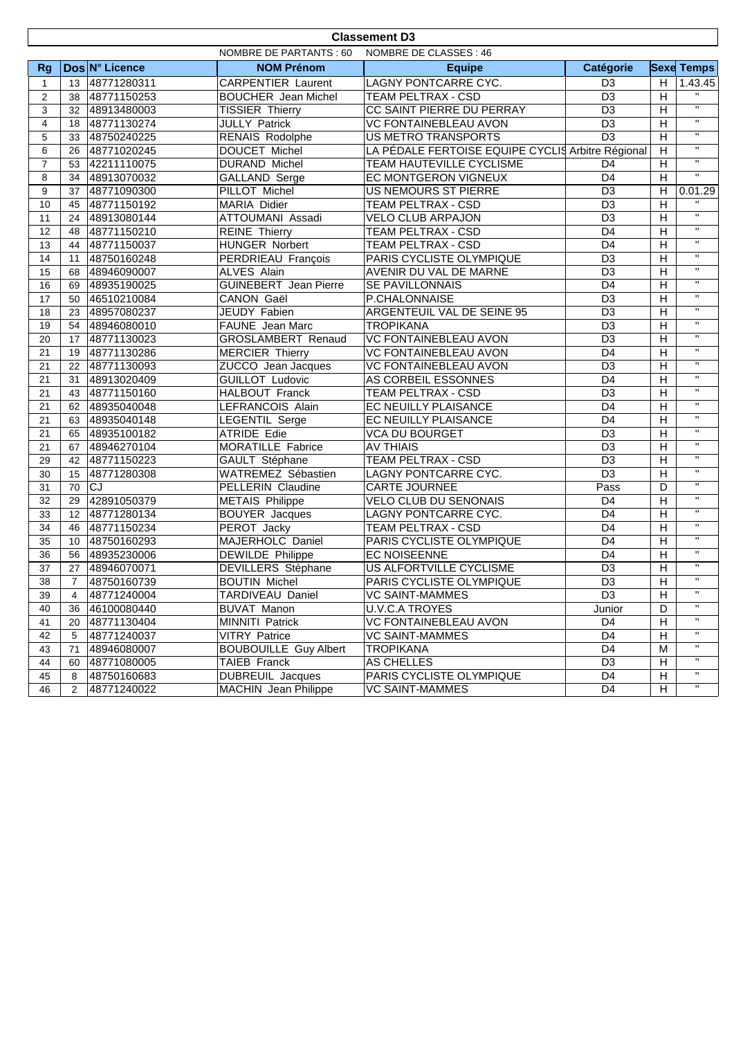|                | <b>Classement D3</b>                              |                |                              |                                                   |                 |                |                         |  |  |
|----------------|---------------------------------------------------|----------------|------------------------------|---------------------------------------------------|-----------------|----------------|-------------------------|--|--|
|                | NOMBRE DE PARTANTS : 60<br>NOMBRE DE CLASSES : 46 |                |                              |                                                   |                 |                |                         |  |  |
| <b>Rg</b>      |                                                   | Dos N° Licence | <b>NOM Prénom</b>            | <b>Equipe</b>                                     | Catégorie       |                | <b>Sexe Temps</b>       |  |  |
| $\mathbf{1}$   | 13                                                | 48771280311    | <b>CARPENTIER Laurent</b>    | LAGNY PONTCARRE CYC.                              | D <sub>3</sub>  | H              | 1.43.45                 |  |  |
| 2              | 38                                                | 48771150253    | <b>BOUCHER</b> Jean Michel   | TEAM PELTRAX - CSD                                | D <sub>3</sub>  | H              | $\mathbf{H}$            |  |  |
| 3              | 32                                                | 48913480003    | <b>TISSIER Thierry</b>       | CC SAINT PIERRE DU PERRAY                         | D <sub>3</sub>  | H              | $\overline{\mathbf{u}}$ |  |  |
| $\overline{4}$ | 18                                                | 48771130274    | JULLY Patrick                | <b>VC FONTAINEBLEAU AVON</b>                      | D <sub>3</sub>  | $\overline{H}$ | $\overline{\mathbf{u}}$ |  |  |
| 5              | 33                                                | 48750240225    | RENAIS Rodolphe              | US METRO TRANSPORTS                               | D <sub>3</sub>  | $\overline{H}$ | $\mathbf{H}$            |  |  |
| 6              | 26                                                | 48771020245    | DOUCET Michel                | LA PÉDALE FERTOISE EQUIPE CYCLIS Arbitre Régional |                 |                | $\mathbf{H}$            |  |  |
| $\overline{7}$ | 53                                                | 42211110075    | <b>DURAND Michel</b>         | <b>TEAM HAUTEVILLE CYCLISME</b>                   | D <sub>4</sub>  |                | $\overline{u}$          |  |  |
| 8              | 34                                                | 48913070032    | GALLAND Serge                | EC MONTGERON VIGNEUX                              | D <sub>4</sub>  |                | $\overline{11}$         |  |  |
| 9              | 37                                                | 48771090300    | PILLOT Michel                | US NEMOURS ST PIERRE                              | D <sub>3</sub>  |                | 0.01.29                 |  |  |
| 10             | 45                                                | 48771150192    | MARIA Didier                 | $\overline{D3}$<br><b>TEAM PELTRAX - CSD</b>      |                 | $\overline{H}$ |                         |  |  |
| 11             | 24                                                | 48913080144    | ATTOUMANI Assadi             | <b>VELO CLUB ARPAJON</b>                          | D <sub>3</sub>  | $\overline{H}$ | $\overline{\mathbf{u}}$ |  |  |
| 12             | 48                                                | 48771150210    | <b>REINE Thierry</b>         | TEAM PELTRAX - CSD<br>D <sub>4</sub>              |                 | H              | $\mathbf{H}$            |  |  |
| 13             | 44                                                | 48771150037    | <b>HUNGER Norbert</b>        | TEAM PELTRAX - CSD                                | D <sub>4</sub>  | H              | $\mathbf{H}$            |  |  |
| 14             | 11                                                | 48750160248    | PERDRIEAU François           | PARIS CYCLISTE OLYMPIQUE                          | D <sub>3</sub>  | H              | $\mathbf{H}$            |  |  |
| 15             | 68                                                | 48946090007    | <b>ALVES Alain</b>           | AVENIR DU VAL DE MARNE                            | $\overline{D3}$ | $\overline{H}$ | $\overline{\mathbf{u}}$ |  |  |
| 16             | 69                                                | 48935190025    | <b>GUINEBERT</b> Jean Pierre | SE PAVILLONNAIS                                   | D <sub>4</sub>  | $\overline{H}$ | $\mathbf{H}$            |  |  |
| 17             | 50                                                | 46510210084    | CANON Gaël                   | P.CHALONNAISE                                     | $\overline{D3}$ | $\overline{H}$ | $\mathbf{H}$            |  |  |
| 18             | 23                                                | 48957080237    | JEUDY Fabien                 | ARGENTEUIL VAL DE SEINE 95                        | D <sub>3</sub>  | H              | $\mathbf{H}$            |  |  |
| 19             | 54                                                | 48946080010    | FAUNE Jean Marc              | <b>TROPIKANA</b>                                  | D <sub>3</sub>  | H              | $\mathbf{H}$            |  |  |
| 20             | 17                                                | 48771130023    | GROSLAMBERT Renaud           | VC FONTAINEBLEAU AVON                             | D <sub>3</sub>  | H              | $\mathbf{H}$            |  |  |
| 21             | 19                                                | 48771130286    | <b>MERCIER Thierry</b>       | VC FONTAINEBLEAU AVON                             | D <sub>4</sub>  | $\overline{H}$ | $\mathbf{H}$            |  |  |
| 21             | 22                                                | 48771130093    | ZUCCO Jean Jacques           | <b>VC FONTAINEBLEAU AVON</b>                      | D <sub>3</sub>  | H              | $\mathbf{u}$            |  |  |
| 21             | 31                                                | 48913020409    | <b>GUILLOT Ludovic</b>       | AS CORBEIL ESSONNES                               | D <sub>4</sub>  | H              | $\mathbf{H}$            |  |  |
| 21             | 43                                                | 48771150160    | HALBOUT Franck               | TEAM PELTRAX - CSD                                | D <sub>3</sub>  | H              | $\mathbf{H}$            |  |  |
| 21             | 62                                                | 48935040048    | LEFRANCOIS Alain             | EC NEUILLY PLAISANCE                              | D <sub>4</sub>  | H              | $\mathbf{H}$            |  |  |
| 21             | 63                                                | 48935040148    | LEGENTIL Serge               | EC NEUILLY PLAISANCE                              | D <sub>4</sub>  | H              | $\mathbf{H}$            |  |  |
| 21             | 65                                                | 48935100182    | <b>ATRIDE Edie</b>           | <b>VCA DU BOURGET</b>                             | D <sub>3</sub>  | H              | $\mathbf{H}$            |  |  |
| 21             | 67                                                | 48946270104    | MORATILLE Fabrice            | <b>AV THIAIS</b>                                  | $\overline{D3}$ | $\overline{H}$ | $\mathbf{H}$            |  |  |
| 29             | 42                                                | 48771150223    | GAULT Stéphane               | <b>TEAM PELTRAX - CSD</b>                         | D <sub>3</sub>  | $\overline{H}$ | $\overline{u}$          |  |  |
| 30             | 15                                                | 48771280308    | WATREMEZ Sébastien           | LAGNY PONTCARRE CYC.                              | D <sub>3</sub>  | H              | $\mathbf{H}$            |  |  |
| 31             | 70                                                | <b>CJ</b>      | PELLERIN Claudine            | CARTE JOURNEE                                     | Pass            | D              | $\mathbf{H}$            |  |  |
| 32             | 29                                                | 42891050379    | <b>METAIS Philippe</b>       | <b>VELO CLUB DU SENONAIS</b>                      | D <sub>4</sub>  | H              | $\mathbf{H}$            |  |  |
| 33             | $12 \overline{ }$                                 | 48771280134    | <b>BOUYER</b> Jacques        | LAGNY PONTCARRE CYC.                              | D <sub>4</sub>  | $\overline{H}$ | $\mathbf{H}$            |  |  |
| 34             | 46                                                | 48771150234    | PEROT Jacky                  | <b>TEAM PELTRAX - CSD</b>                         | D <sub>4</sub>  | $\overline{H}$ | $\mathbf{H}$            |  |  |
| 35             | 10                                                | 48750160293    | MAJERHOLC Daniel             | PARIS CYCLISTE OLYMPIQUE                          | D <sub>4</sub>  | H              | $\overline{\mathbf{u}}$ |  |  |
| 36             | 56                                                | 48935230006    | <b>DEWILDE Philippe</b>      | <b>EC NOISEENNE</b>                               | D <sub>4</sub>  | H              | $\mathbf{H}$            |  |  |
| 37             | 27                                                | 48946070071    | DEVILLERS Stéphane           | US ALFORTVILLE CYCLISME                           | D <sub>3</sub>  | H              | $\mathbf{H}$            |  |  |
| 38             |                                                   | 48750160739    | <b>BOUTIN Michel</b>         | PARIS CYCLISTE OLYMPIQUE                          | $\overline{D3}$ | $\overline{H}$ | $\mathbf{H}$            |  |  |
| 39             | 4                                                 | 48771240004    | TARDIVEAU Daniel             | VC SAINT-MAMMES                                   | D <sub>3</sub>  | H              | $\mathbf{H}$            |  |  |
| 40             | 36                                                | 46100080440    | <b>BUVAT Manon</b>           | <b>U.V.C.A TROYES</b>                             | Junior          | D              |                         |  |  |
| 41             | 20                                                | 48771130404    | <b>MINNITI Patrick</b>       | VC FONTAINEBLEAU AVON                             | D4              | H              | $\mathbf{H}$            |  |  |
| 42             | 5                                                 | 48771240037    | <b>VITRY Patrice</b>         | <b>VC SAINT-MAMMES</b>                            | D4              | H              | $\mathbf{H}$            |  |  |
| 43             | 71                                                | 48946080007    | <b>BOUBOUILLE Guy Albert</b> | <b>TROPIKANA</b>                                  | D4              | М              |                         |  |  |
| 44             | 60                                                | 48771080005    | TAIEB Franck                 | AS CHELLES                                        | D <sub>3</sub>  | H              | $\mathbf{H}$            |  |  |
| 45             | 8                                                 | 48750160683    | <b>DUBREUIL Jacques</b>      | PARIS CYCLISTE OLYMPIQUE                          | D <sub>4</sub>  | H              | $\mathbf{H}$            |  |  |
| 46             | $\overline{2}$                                    | 48771240022    | <b>MACHIN</b> Jean Philippe  | <b>VC SAINT-MAMMES</b>                            | D4              | H              | $\mathbf{H}$            |  |  |